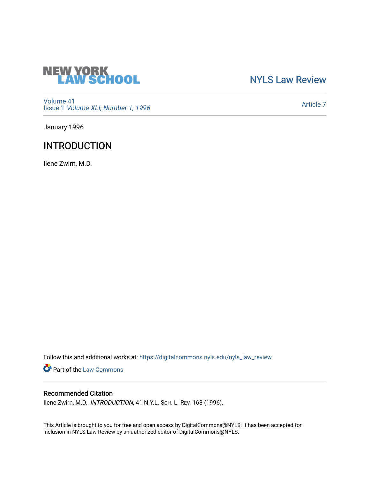

# [NYLS Law Review](https://digitalcommons.nyls.edu/nyls_law_review)

[Volume 41](https://digitalcommons.nyls.edu/nyls_law_review/vol41) Issue 1 [Volume XLI, Number 1, 1996](https://digitalcommons.nyls.edu/nyls_law_review/vol41/iss1)

[Article 7](https://digitalcommons.nyls.edu/nyls_law_review/vol41/iss1/7) 

January 1996

# **INTRODUCTION**

Ilene Zwirn, M.D.

Follow this and additional works at: [https://digitalcommons.nyls.edu/nyls\\_law\\_review](https://digitalcommons.nyls.edu/nyls_law_review?utm_source=digitalcommons.nyls.edu%2Fnyls_law_review%2Fvol41%2Fiss1%2F7&utm_medium=PDF&utm_campaign=PDFCoverPages) 

**Part of the [Law Commons](https://network.bepress.com/hgg/discipline/578?utm_source=digitalcommons.nyls.edu%2Fnyls_law_review%2Fvol41%2Fiss1%2F7&utm_medium=PDF&utm_campaign=PDFCoverPages)** 

## Recommended Citation

Ilene Zwirn, M.D., INTRODUCTION, 41 N.Y.L. SCH. L. REV. 163 (1996).

This Article is brought to you for free and open access by DigitalCommons@NYLS. It has been accepted for inclusion in NYLS Law Review by an authorized editor of DigitalCommons@NYLS.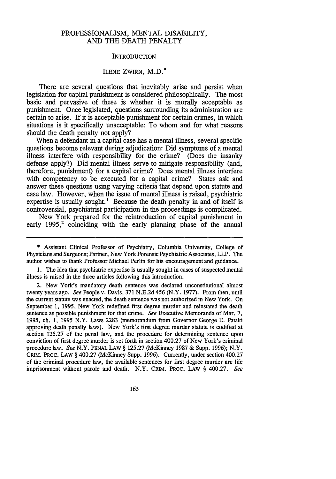#### PROFESSIONALISM, **MENTAL** DISABILITY, **AND** THE **DEATH** PENALTY

### INTRODUCTION

### ILENE ZWIRN, M.D.\*

There are several questions that inevitably arise and persist when legislation for capital punishment is considered philosophically. The most basic and pervasive of these is whether it is morally acceptable as punishment. Once legislated, questions surrounding its administration are certain to arise. If it is acceptable punishment for certain crimes, in which situations is it specifically unacceptable: To whom and for what reasons should the death penalty not apply?

When a defendant in a capital case has a mental illness, several specific questions become relevant during adjudication: Did symptoms of a mental illness interfere with responsibility for the crime? (Does the insanity defense apply?) Did mental illness serve to mitigate responsibility (and, therefore, punishment) for a capital crime? Does mental illness interfere with competency to be executed for a capital crime? States ask and answer these questions using varying criteria that depend upon statute and case law. However, when the issue of mental illness is raised, psychiatric expertise is usually sought.<sup>1</sup> Because the death penalty in and of itself is controversial, psychiatrist participation in the proceedings is complicated.

New York prepared for the reintroduction of capital punishment in early 1995,<sup>2</sup> coinciding with the early planning phase of the annual

**\*** Assistant Clinical Professor of Psychiatry, Columbia University, College of Physicians and Surgeons; Partner, New York Forensic Psychiatric Associates, LLP. The author wishes to thank Professor Michael Perlin for his encouragement and guidance.

**1.** The idea that psychiatric expertise is usually sought in cases of suspected mental illness is raised in the three articles following this introduction.

2. New York's mandatory death sentence was declared unconstitutional almost twenty years ago. *See* People v. Davis, **371 N.E.2d** 456 (N.Y. **1977).** From then, until the current statute was enacted, the death sentence was not authorized in New York. On September **1, 1995,** New York redefined first degree murder and reinstated the death sentence as possible punishment for that crime. *See* Executive Memoranda of Mar. **7, 1995,** ch. **1, 1995** N.Y. Laws **2283** (memorandum from Governor George **E.** Pataki approving death penalty laws). New York's first degree murder statute is codified at section **125.27** of the penal law, and the procedure for determining sentence upon conviction of first degree murder is set forth in section 400.27 of New York's criminal procedure law. *See* N.Y. **PENAL LAW § 125.27** (McKinney **1987 &** Supp. **1996);** N.Y. **CRiM.** PROC. **LAW §** 400.27 (McKinney Supp. **1996).** Currently, under section 400.27 of the criminal procedure law, the available sentences for first degree murder are life imprisonment without parole and death. N.Y. **CRiM.** PROC. LAW **§** 400.27. *See*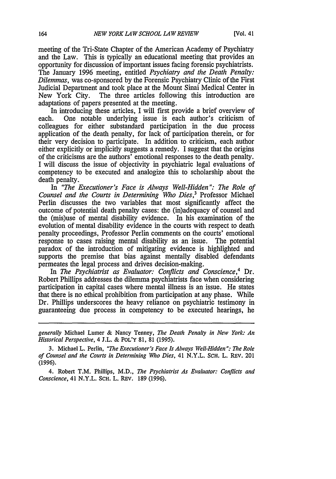meeting of the Tri-State Chapter of the American Academy of Psychiatry and the Law. This is typically an educational meeting that provides an opportunity for discussion of important issues facing forensic psychiatrists. The January 1996 meeting, entitled *Psychiatry and the Death Penalty: Dilemmas,* was co-sponsored by the Forensic Psychiatry Clinic of the First Judicial Department and took place at the Mount Sinai Medical Center in The three articles following this introduction are adaptations of papers presented at the meeting.

In introducing these articles, I will first provide a brief overview of each. One notable underlying issue is each author's criticism of colleagues for either substandard participation in the due process application of the death penalty, for lack of participation therein, or for their very decision to participate. In addition to criticism, each author either explicitly or implicitly suggests a remedy. I suggest that the origins of the criticisms are the authors' emotional responses to the death penalty. I will discuss the issue of objectivity in psychiatric legal evaluations of competency to be executed and analogize this to scholarship about the death penalty.

In *"The Executioner's Face is Always Well-Hidden* ": *The Role of Counsel and the Courts in Determining Who Dies,3* Professor Michael Perlin discusses the two variables that most significantly affect the outcome of potential death penalty cases: the (in)adequacy of counsel and the (mis)use of mental disability evidence. In his examination of the evolution of mental disability evidence in the courts with respect to death penalty proceedings, Professor Perlin comments on the courts' emotional response to cases raising mental disability as an issue. The potential paradox of the introduction of mitigating evidence is highlighted and supports the premise that bias against mentally disabled defendants permeates the legal process and drives decision-making.

In *The Psychiatrist as Evaluator: Conflicts and Conscience,4* Dr. Robert Phillips addresses the dilemma psychiatrists face when considering participation in capital cases where mental illness is an issue. He states that there is no ethical prohibition from participation at any phase. While Dr. Phillips underscores the heavy reliance on psychiatric testimony in guaranteeing due process in competency to be executed hearings, he

*generally* Michael Lurner & Nancy Tenney, *The Death Penalty in New York: An Historical Perspective,* 4 J.L. & POL'Y 81, 81 (1995).

**<sup>3.</sup>** Michael L. Perlin, *"The Executioner's Face Is Always Well-Hidden": The Role of Counsel and the Courts in Determining Who Dies, 41 N.Y.L. SCH. L. REV. 201* (1996).

<sup>4.</sup> Robert T.M. Phillips, M.D., *The Psychiatrist As Evaluator: Conflicts and Conscience,* 41 N.Y.L. **SCH.** L. REV. 189 (1996).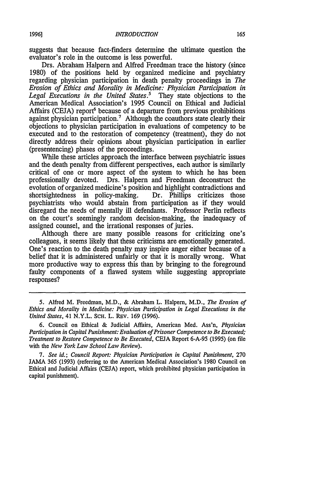suggests that because fact-finders determine the ultimate question the evaluator's role in the outcome is less powerful.

Drs. Abraham Halpern and Alfred Freedman trace the history (since 1980) of the positions held by organized medicine and psychiatry regarding physician participation in death penalty proceedings in *The Erosion of Ethics and Morality in Medicine: Physician Participation in Legal Executions in the United States.'* They state objections to the American Medical Association's 1995 Council on Ethical and Judicial Affairs (CEJA) report<sup>6</sup> because of a departure from previous prohibitions against physician participation.<sup>7</sup> Although the coauthors state clearly their objections to physician participation in evaluations of competency to be executed and to the restoration of competency (treatment), they do not directly address their opinions about physician participation in earlier (presentencing) phases of the proceedings.

While these articles approach the interface between psychiatric issues and the death penalty from different perspectives, each author is similarly critical of one or more aspect of the system to which he has been professionally devoted. Drs. Halpern and Freedman deconstruct the evolution of organized medicine's position and highlight contradictions and shortsightedness in policy-making. Dr. Phillips criticizes those psychiatrists who would abstain from participation as if they would disregard the needs of mentally ill defendants. Professor Perlin reflects on the court's seemingly random decision-making, the inadequacy of assigned counsel, and the irrational responses of juries.

Although there are many possible reasons for criticizing one's colleagues, it seems likely that these criticisms are emotionally generated. One's reaction to the death penalty may inspire anger either because of a belief that it is administered unfairly or that it is morally wrong. What more productive way to express this than by bringing to the foreground faulty components of a flawed system while suggesting appropriate responses?

*7. See id.; Council Report: Physician Participation in Capital Punishment,* 270 JAMA 365 (1993) (referring to the American Medical Association's 1980 Council on Ethical and Judicial Affairs (CEJA) report, which prohibited physician participation in capital punishment).

<sup>5.</sup> Alfred M. Freedman, M.D., & Abraham L. Halpern, M.D., *The Erosion of Ethics and Morality in Medicine: Physician Participation in Legal Executions in the United States,* 41 N.Y.L. SCH. L. REv. 169 (1996).

<sup>6.</sup> Council on Ethical & Judicial Affairs, American Med. Ass'n, *Physician Participation in Capital Punishment: Evaluation of Prisoner Competence to Be Executed; Treatment to Restore Competence to Be Executed,* CEJA Report 6-A-95 (1995) (on file with the *New York Law School Law Review).*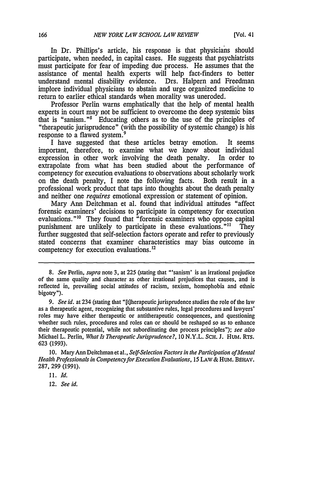In Dr. Phillips's article, his response is that physicians should participate, when needed, in capital cases. He suggests that psychiatrists must participate for fear of impeding due process. He assumes that the assistance of mental health experts will help fact-finders to better understand mental disability evidence. Drs. Halpern and Freedman implore individual physicians to abstain and urge organized medicine to return to earlier ethical standards when morality was uneroded.

Professor Perlin warns emphatically that the help of mental health experts in court may not be sufficient to overcome the deep systemic bias that is "sanism." $8$  Educating others as to the use of the principles of "therapeutic jurisprudence" (with the possibility of systemic change) is his response to a flawed system.<sup>9</sup>

I have suggested that these articles betray emotion. It seems important, therefore, to examine what we know about individual expression in other work involving the death penalty. In order to extrapolate from what has been studied about the performance of competency for execution evaluations to observations about scholarly work on the death penalty, I note the following facts. Both result in a professional work product that taps into thoughts about the death penalty and neither one *requires* emotional expression or statement of opinion.

Mary Ann Deitchman et al. found that individual attitudes "affect forensic examiners' decisions to participate in competency for execution evaluations."10 They found that "forensic examiners who oppose capital punishment are unlikely to participate in these evaluations."<sup>11</sup> They further suggested that self-selection factors operate and refer to previously stated concerns that examiner characteristics may bias outcome in competency for execution evaluations.<sup>12</sup>

12. *See id.*

*<sup>8.</sup> See* Perlin, *supra* note 3, at 225 (stating that "'sanism' is an irrational prejudice of the same quality and character as other irrational prejudices that causes, and is reflected in, prevailing social attitudes of racism, sexism, homophobia and ethnic bigotry").

*<sup>9.</sup> See id.* at 234 (stating that "[t]herapeutic jurisprudence studies the role of the law as a therapeutic agent, recognizing that substantive rules, legal procedures and lawyers' roles may have either therapeutic or antitherapeutic consequences, and questioning whether such rules, procedures and roles can or should be reshaped so as to enhance their therapeutic potential, while not subordinating due process principles"); *see also* Michael L. Perlin, *What Is Therapeutic Jurisprudence?, 10* N.Y.L. **SCH.** J. HUM. RTs. 623 (1993).

<sup>10.</sup> Mary Ann Deitchman et al., *Self-Selection Factors in the Participation of Mental Health Professionals in Competencyfor Execution Evaluations,* 15 LAw & HUM. BEHAV. 287, 299 (1991).

<sup>11.</sup> *Id.*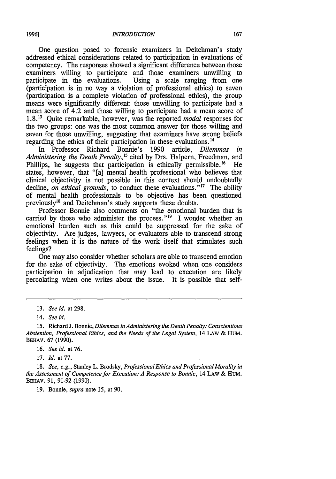One question posed to forensic examiners in Deitchman's study addressed ethical considerations related to participation in evaluations of competency. The responses showed a significant difference between those examiners willing to participate and those examiners unwilling to participate in the evaluations. Using a scale ranging from one Using a scale ranging from one (participation is in no way a violation of professional ethics) to seven (participation is a complete violation of professional ethics), the group means were significantly different: those unwilling to participate had a mean score of 4.2 and those willing to participate had a mean score of 1.8. Quite remarkable, however, was the reported *modal* responses for the two groups: one was the most common answer for those willing and seven for those unwilling, suggesting that examiners have strong beliefs regarding the ethics of their participation in these evaluations.<sup>14</sup>

In Professor Richard Bonnie's 1990 article, *Dilemmas in Administering the Death Penalty,5* cited by Drs. Halpern, Freedman, and Phillips, he suggests that participation is ethically permissible.<sup>16</sup> He states, however, that "[a] mental health professional who believes that clinical objectivity is not possible in this context should undoubtedly decline, *on ethical grounds*, to conduct these evaluations."<sup>17</sup> The ability of mental health professionals to be objective has been questioned previously<sup>18</sup> and Deitchman's study supports these doubts.

Professor Bonnie also comments on "the emotional burden that is carried by those who administer the process." $19$  I wonder whether an emotional burden such as this could be suppressed for the sake of objectivity. Are judges, lawyers, or evaluators able to transcend strong feelings when it is the nature of the work itself that stimulates such feelings?

One may also consider whether scholars are able to transcend emotion for the sake of objectivity. The emotions evoked when one considers participation in adjudication that may lead to execution are likely percolating when one writes about the issue. It is possible that self-

**17.** *Id.* at 77.

**18.** *See, e.g.,* Stanley L. Brodsky, *Professional Ethics and Professional Morality in the Assessment of Competence for Execution: A Response to Bonnie,* 14 **LAw &** HUM. **BEHAV. 91, 91-92 (1990).**

**19.** Bonnie, *supra* note 15, at 90.

**<sup>13.</sup>** *See id.* at **298.**

<sup>14.</sup> *See id.*

**<sup>15.</sup>** Richard **J.** Bonnie, *Dilemmas in Administering the Death Penalty: Conscientious Abstention, Professional Ethics, and the Needs of the Legal System,* 14 LAw **&** HUM. **BEHAV. 67 (1990).**

<sup>16.</sup> *See id.* at 76.